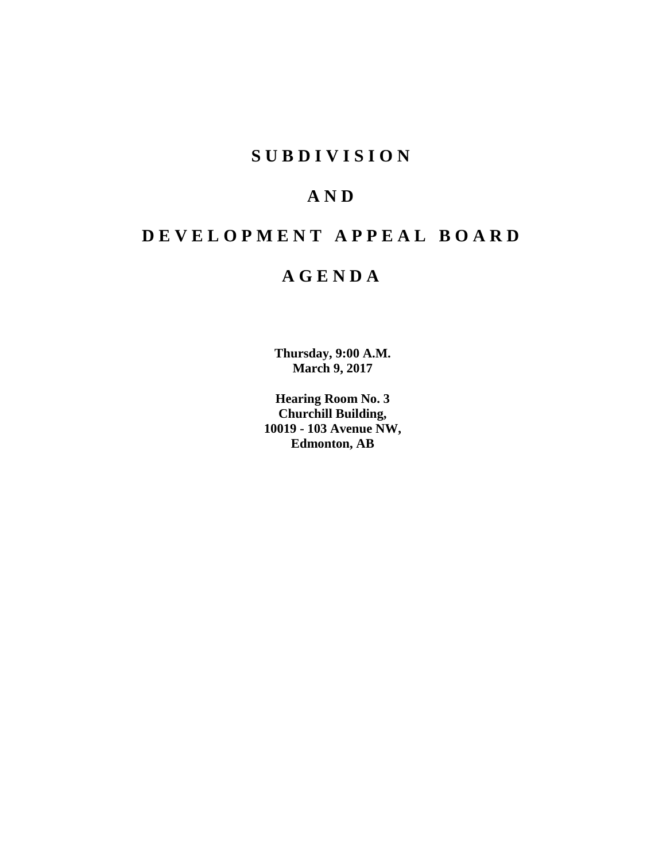# **SUBDIVISION**

# **AND**

# **DEVELOPMENT APPEAL BOARD**

# **AGENDA**

**Thursday, 9:00 A.M. March 9, 2017**

**Hearing Room No. 3 Churchill Building, 10019 - 103 Avenue NW, Edmonton, AB**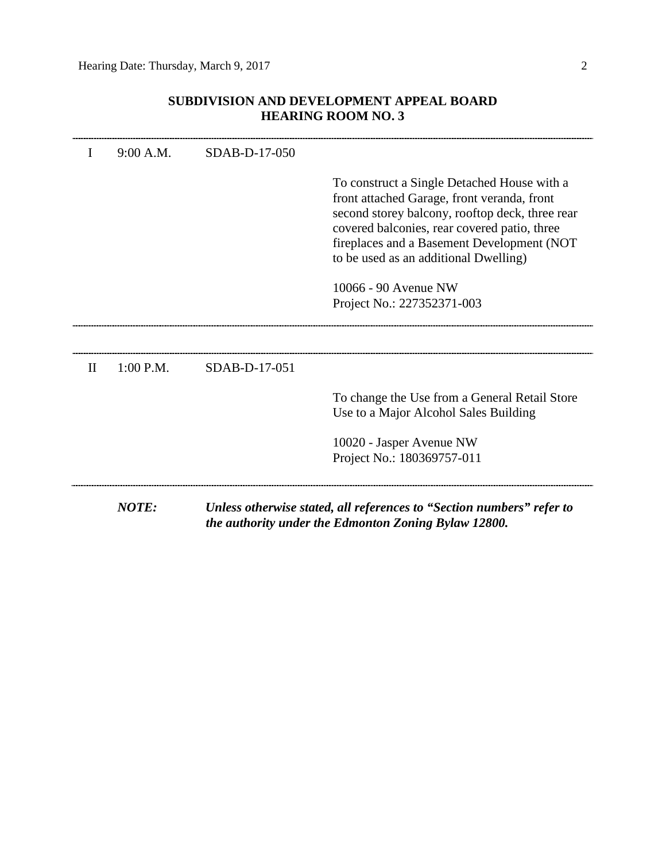# **SUBDIVISION AND DEVELOPMENT APPEAL BOARD HEARING ROOM NO. 3**

|              | <b>NOTE:</b> |               | Unless otherwise stated, all references to "Section numbers" refer to<br>the authority under the Edmonton Zoning Bylaw 12800.                                                                                                                                                        |
|--------------|--------------|---------------|--------------------------------------------------------------------------------------------------------------------------------------------------------------------------------------------------------------------------------------------------------------------------------------|
|              |              |               | 10020 - Jasper Avenue NW<br>Project No.: 180369757-011                                                                                                                                                                                                                               |
|              |              |               | To change the Use from a General Retail Store<br>Use to a Major Alcohol Sales Building                                                                                                                                                                                               |
| $\mathbf{H}$ | $1:00$ P.M.  | SDAB-D-17-051 |                                                                                                                                                                                                                                                                                      |
|              |              |               | 10066 - 90 Avenue NW<br>Project No.: 227352371-003                                                                                                                                                                                                                                   |
|              |              |               | To construct a Single Detached House with a<br>front attached Garage, front veranda, front<br>second storey balcony, rooftop deck, three rear<br>covered balconies, rear covered patio, three<br>fireplaces and a Basement Development (NOT<br>to be used as an additional Dwelling) |
|              | 9:00 A.M.    | SDAB-D-17-050 |                                                                                                                                                                                                                                                                                      |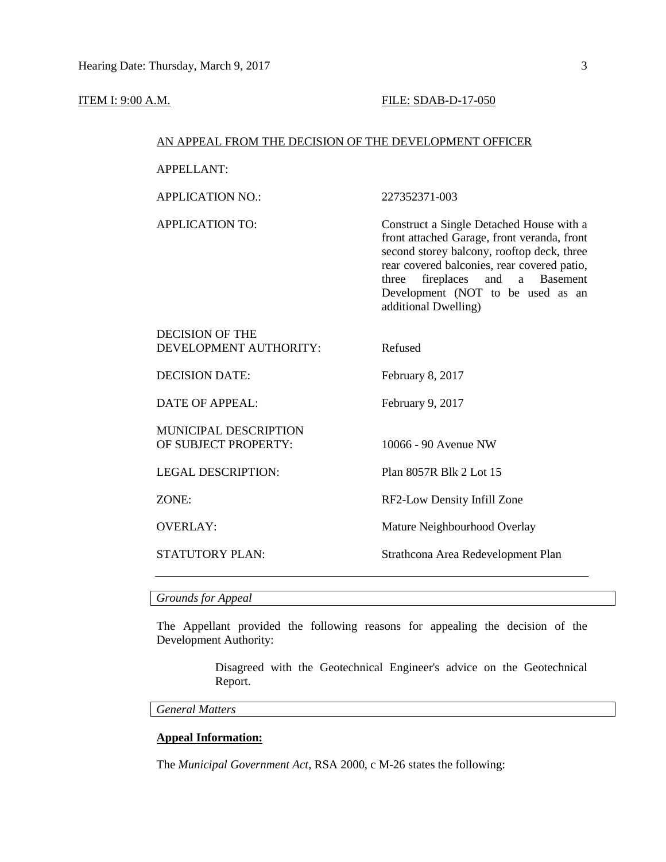#### **ITEM I: 9:00 A.M. FILE: SDAB-D-17-050**

#### AN APPEAL FROM THE DECISION OF THE DEVELOPMENT OFFICER

APPELLANT:

APPLICATION NO.: 227352371-003

APPLICATION TO: Construct a Single Detached House with a front attached Garage, front veranda, front second storey balcony, rooftop deck, three rear covered balconies, rear covered patio, three fireplaces and a Basement Development (NOT to be used as an additional Dwelling)

# DECISION OF THE DEVELOPMENT AUTHORITY: Refused

DECISION DATE: February 8, 2017

DATE OF APPEAL: February 9, 2017

MUNICIPAL DESCRIPTION OF SUBJECT PROPERTY: 10066 - 90 Avenue NW

LEGAL DESCRIPTION: Plan 8057R Blk 2 Lot 15

ZONE: RF2-Low Density Infill Zone

OVERLAY: Mature Neighbourhood Overlay

STATUTORY PLAN: Strathcona Area Redevelopment Plan

*Grounds for Appeal*

The Appellant provided the following reasons for appealing the decision of the Development Authority:

> Disagreed with the Geotechnical Engineer's advice on the Geotechnical Report.

*General Matters*

# **Appeal Information:**

The *Municipal Government Act*, RSA 2000, c M-26 states the following: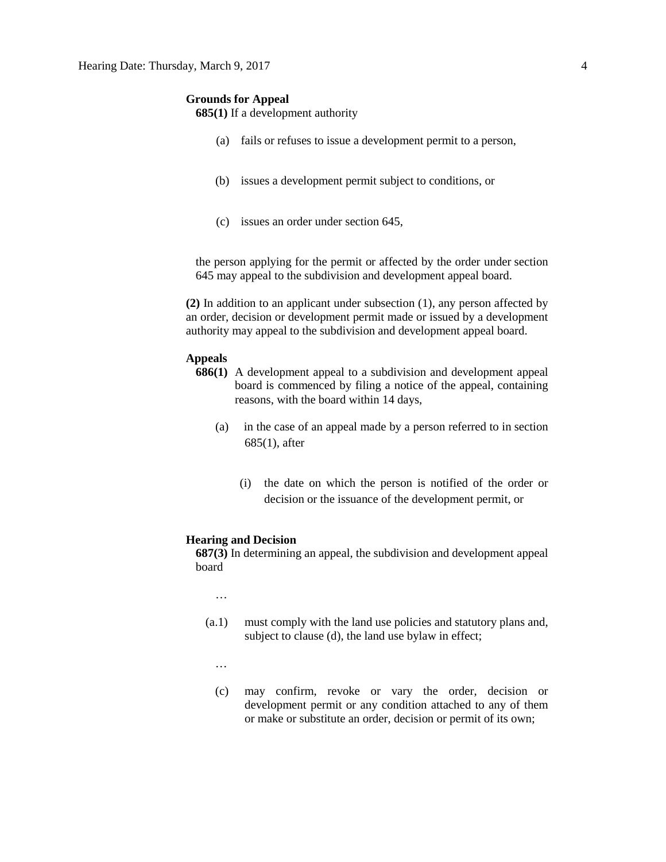#### **Grounds for Appeal**

# **685(1)** If a development authority

- (a) fails or refuses to issue a development permit to a person,
- (b) issues a development permit subject to conditions, or
- (c) issues an order under section 645,

the person applying for the permit or affected by the order under section 645 may appeal to the subdivision and development appeal board.

**(2)** In addition to an applicant under subsection (1), any person affected by an order, decision or development permit made or issued by a development authority may appeal to the subdivision and development appeal board.

# **Appeals**

- **686(1)** A development appeal to a subdivision and development appeal board is commenced by filing a notice of the appeal, containing reasons, with the board within 14 days,
	- (a) in the case of an appeal made by a person referred to in section 685(1), after
		- (i) the date on which the person is notified of the order or decision or the issuance of the development permit, or

#### **Hearing and Decision**

**687(3)** In determining an appeal, the subdivision and development appeal board

…

- (a.1) must comply with the land use policies and statutory plans and, subject to clause (d), the land use bylaw in effect;
	- …
	- (c) may confirm, revoke or vary the order, decision or development permit or any condition attached to any of them or make or substitute an order, decision or permit of its own;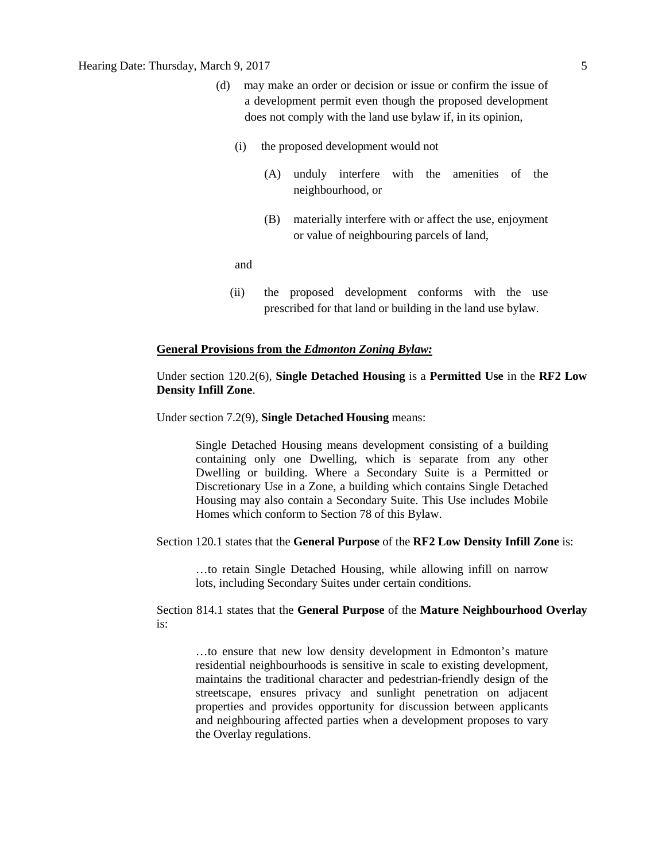- (d) may make an order or decision or issue or confirm the issue of a development permit even though the proposed development does not comply with the land use bylaw if, in its opinion,
	- (i) the proposed development would not
		- (A) unduly interfere with the amenities of the neighbourhood, or
		- (B) materially interfere with or affect the use, enjoyment or value of neighbouring parcels of land,

and

(ii) the proposed development conforms with the use prescribed for that land or building in the land use bylaw.

#### **General Provisions from the** *Edmonton Zoning Bylaw:*

# Under section 120.2(6), **Single Detached Housing** is a **Permitted Use** in the **RF2 Low Density Infill Zone**.

Under section 7.2(9), **Single Detached Housing** means:

Single Detached Housing means development consisting of a building containing only one Dwelling, which is separate from any other Dwelling or building. Where a Secondary Suite is a Permitted or Discretionary Use in a Zone, a building which contains Single Detached Housing may also contain a Secondary Suite. This Use includes Mobile Homes which conform to Section 78 of this Bylaw.

#### Section 120.1 states that the **General Purpose** of the **RF2 Low Density Infill Zone** is:

…to retain Single Detached Housing, while allowing infill on narrow lots, including Secondary Suites under certain conditions.

# Section 814.1 states that the **General Purpose** of the **Mature Neighbourhood Overlay**  is:

…to ensure that new low density development in Edmonton's mature residential neighbourhoods is sensitive in scale to existing development, maintains the traditional character and pedestrian-friendly design of the streetscape, ensures privacy and sunlight penetration on adjacent properties and provides opportunity for discussion between applicants and neighbouring affected parties when a development proposes to vary the Overlay regulations.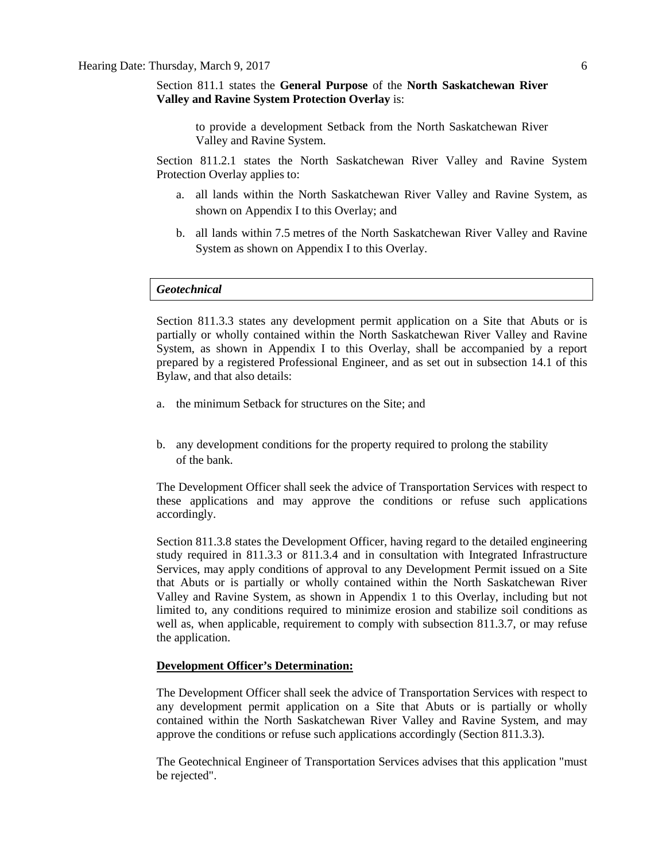Section 811.1 states the **General Purpose** of the **North Saskatchewan River Valley and Ravine System Protection Overlay** is:

to provide a development Setback from the North Saskatchewan River Valley and Ravine System.

Section 811.2.1 states the North Saskatchewan River Valley and Ravine System Protection Overlay applies to:

- a. all lands within the North Saskatchewan River Valley and Ravine System, as shown on Appendix I to this Overlay; and
- b. all lands within [7.5](javascript:void(0);) metres of the North Saskatchewan River Valley and Ravine System as shown on Appendix I to this Overlay.

#### *Geotechnical*

Section 811.3.3 states any development permit application on a Site that Abuts or is partially or wholly contained within the North Saskatchewan River Valley and Ravine System, as shown in Appendix I to this Overlay, shall be accompanied by a report prepared by a registered Professional Engineer, and as set out in subsection 14.1 of this Bylaw, and that also details:

- a. the minimum Setback for structures on the Site; and
- b. any development conditions for the property required to prolong the stability of the bank.

The Development Officer shall seek the advice of Transportation Services with respect to these applications and may approve the conditions or refuse such applications accordingly.

Section 811.3.8 states the Development Officer, having regard to the detailed engineering study required in 811.3.3 or 811.3.4 and in consultation with Integrated Infrastructure Services, may apply conditions of approval to any Development Permit issued on a Site that Abuts or is partially or wholly contained within the North Saskatchewan River Valley and Ravine System, as shown in Appendix 1 to this Overlay, including but not limited to, any conditions required to minimize erosion and stabilize soil conditions as well as, when applicable, requirement to comply with subsection 811.3.7, or may refuse the application.

#### **Development Officer's Determination:**

The Development Officer shall seek the advice of Transportation Services with respect to any development permit application on a Site that Abuts or is partially or wholly contained within the North Saskatchewan River Valley and Ravine System, and may approve the conditions or refuse such applications accordingly (Section 811.3.3).

The Geotechnical Engineer of Transportation Services advises that this application "must be rejected".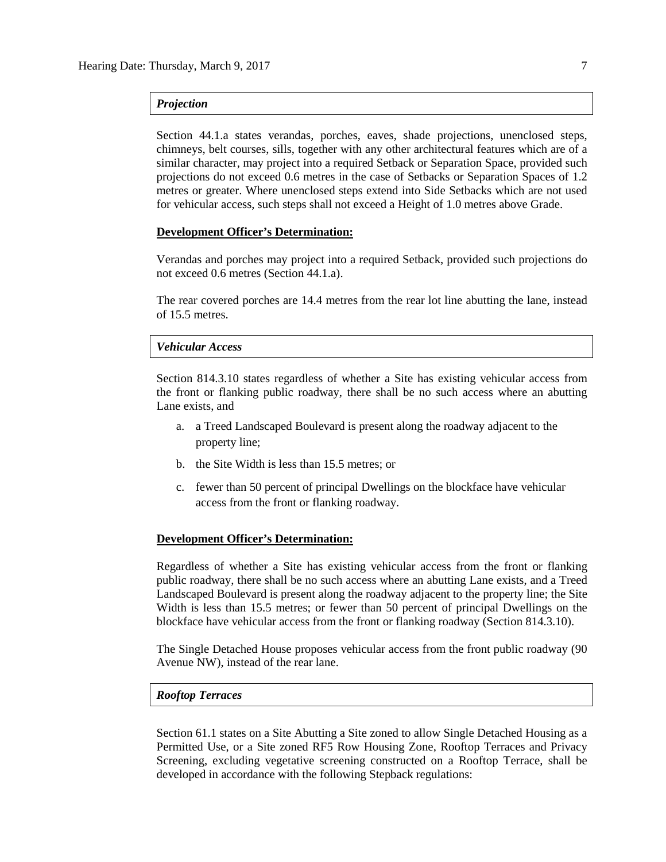## *Projection*

Section 44.1.a states verandas, porches, eaves, shade projections, unenclosed steps, chimneys, belt courses, sills, together with any other architectural features which are of a similar character, may project into a required Setback or Separation Space, provided such projections do not exceed 0.6 metres in the case of Setbacks or Separation Spaces of 1.2 metres or greater. Where unenclosed steps extend into Side Setbacks which are not used for vehicular access, such steps shall not exceed a Height of 1.0 metres above Grade.

#### **Development Officer's Determination:**

Verandas and porches may project into a required Setback, provided such projections do not exceed 0.6 metres (Section 44.1.a).

The rear covered porches are 14.4 metres from the rear lot line abutting the lane, instead of 15.5 metres.

# *Vehicular Access*

Section 814.3.10 states regardless of whether a Site has existing vehicular access from the front or flanking public roadway, there shall be no such access where an abutting Lane exists, and

- a. a Treed Landscaped Boulevard is present along the roadway adjacent to the property line;
- b. the Site Width is less than 15.5 metres; or
- c. fewer than 50 percent of principal Dwellings on the blockface have vehicular access from the front or flanking roadway.

# **Development Officer's Determination:**

Regardless of whether a Site has existing vehicular access from the front or flanking public roadway, there shall be no such access where an abutting Lane exists, and a Treed Landscaped Boulevard is present along the roadway adjacent to the property line; the Site Width is less than 15.5 metres; or fewer than 50 percent of principal Dwellings on the blockface have vehicular access from the front or flanking roadway (Section 814.3.10).

The Single Detached House proposes vehicular access from the front public roadway (90 Avenue NW), instead of the rear lane.

# *Rooftop Terraces*

Section 61.1 states on a Site Abutting a Site zoned to allow Single Detached Housing as a Permitted Use, or a Site zoned RF5 Row Housing Zone, Rooftop Terraces and Privacy Screening, excluding vegetative screening constructed on a Rooftop Terrace, shall be developed in accordance with the following Stepback regulations: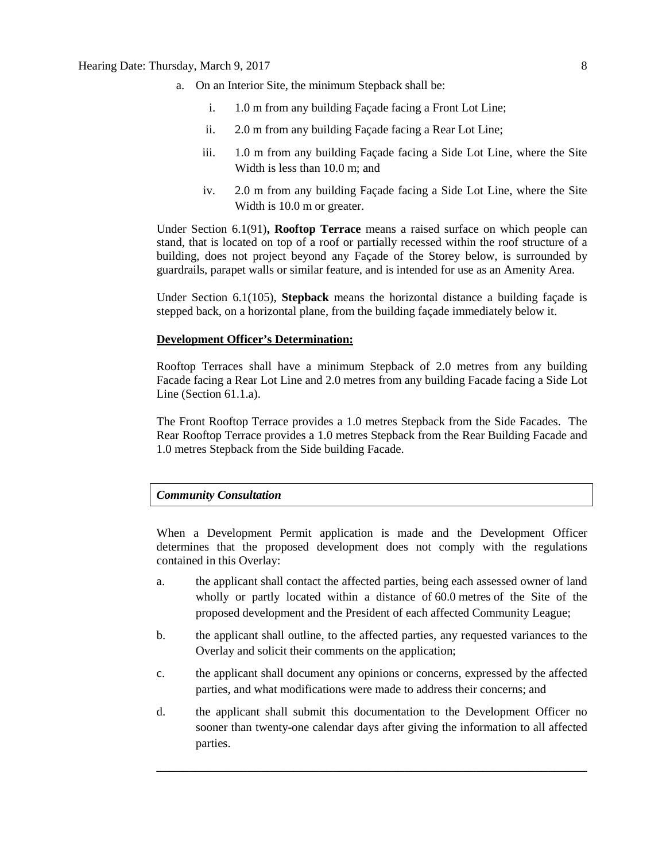# Hearing Date: Thursday, March 9, 2017 8

- a. On an Interior Site, the minimum Stepback shall be:
	- i. 1.0 m from any building Façade facing a Front Lot Line;
	- ii. 2.0 m from any building Façade facing a Rear Lot Line;
	- iii. 1.0 m from any building Façade facing a Side Lot Line, where the Site Width is less than 10.0 m; and
	- iv. 2.0 m from any building Façade facing a Side Lot Line, where the Site Width is 10.0 m or greater.

Under Section 6.1(91)**, Rooftop Terrace** means a raised surface on which people can stand, that is located on top of a roof or partially recessed within the roof structure of a building, does not project beyond any Façade of the Storey below, is surrounded by guardrails, parapet walls or similar feature, and is intended for use as an Amenity Area.

Under Section 6.1(105), **Stepback** means the horizontal distance a building façade is stepped back, on a horizontal plane, from the building façade immediately below it.

## **Development Officer's Determination:**

Rooftop Terraces shall have a minimum Stepback of 2.0 metres from any building Facade facing a Rear Lot Line and 2.0 metres from any building Facade facing a Side Lot Line (Section 61.1.a).

The Front Rooftop Terrace provides a 1.0 metres Stepback from the Side Facades. The Rear Rooftop Terrace provides a 1.0 metres Stepback from the Rear Building Facade and 1.0 metres Stepback from the Side building Facade.

## *Community Consultation*

When a Development Permit application is made and the Development Officer determines that the proposed development does not comply with the regulations contained in this Overlay:

- a. the applicant shall contact the affected parties, being each assessed owner of land wholly or partly located within a distance of 60.0 metres of the Site of the proposed development and the President of each affected Community League;
- b. the applicant shall outline, to the affected parties, any requested variances to the Overlay and solicit their comments on the application;
- c. the applicant shall document any opinions or concerns, expressed by the affected parties, and what modifications were made to address their concerns; and
- d. the applicant shall submit this documentation to the Development Officer no sooner than twenty-one calendar days after giving the information to all affected parties.

\_\_\_\_\_\_\_\_\_\_\_\_\_\_\_\_\_\_\_\_\_\_\_\_\_\_\_\_\_\_\_\_\_\_\_\_\_\_\_\_\_\_\_\_\_\_\_\_\_\_\_\_\_\_\_\_\_\_\_\_\_\_\_\_\_\_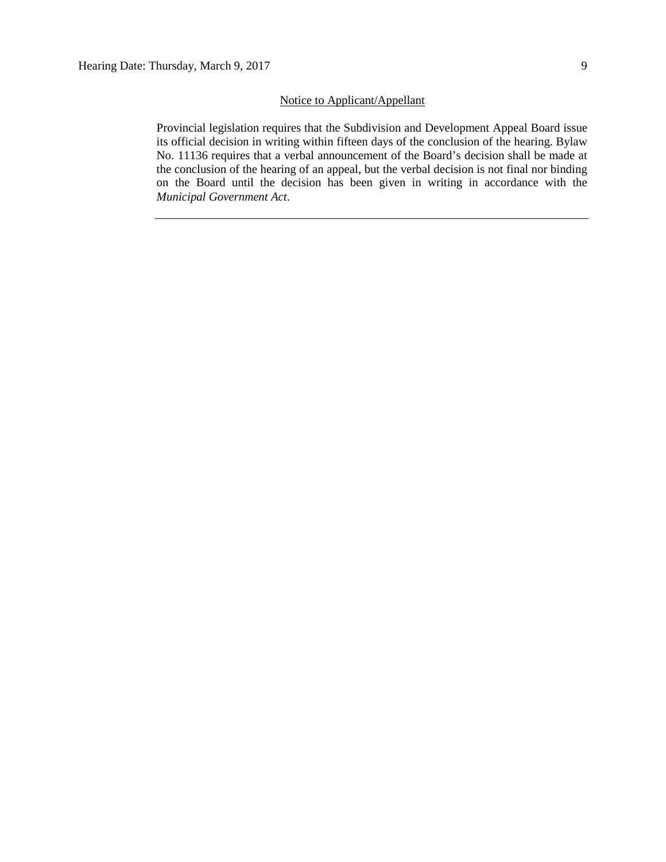### Notice to Applicant/Appellant

Provincial legislation requires that the Subdivision and Development Appeal Board issue its official decision in writing within fifteen days of the conclusion of the hearing. Bylaw No. 11136 requires that a verbal announcement of the Board's decision shall be made at the conclusion of the hearing of an appeal, but the verbal decision is not final nor binding on the Board until the decision has been given in writing in accordance with the *Municipal Government Act*.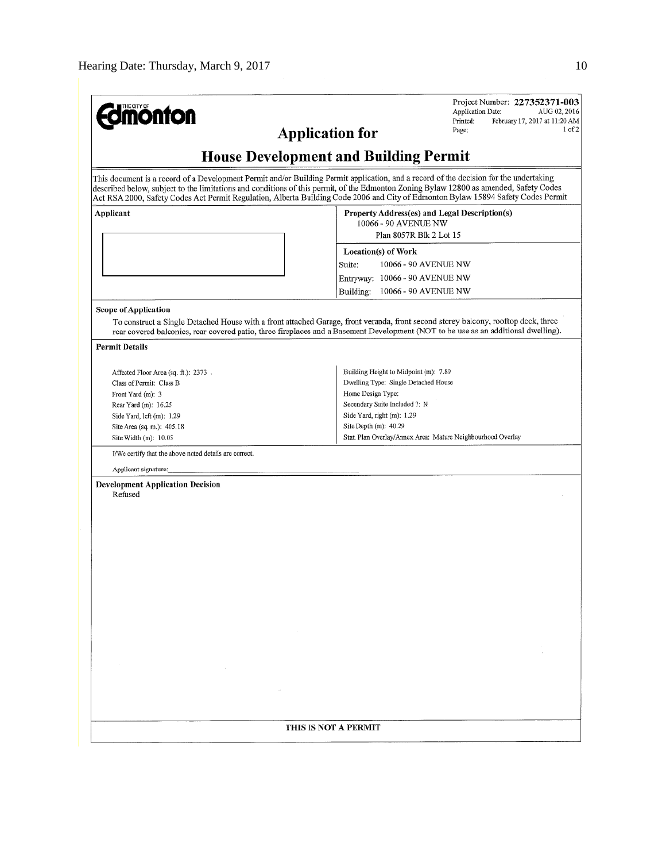| <b>monton</b><br><b>Application for</b>                                                                                                                                                                                                                                                                                                                                                                               | Project Number: 227352371-003<br><b>Application Date:</b><br>AUG 02, 2016<br>February 17, 2017 at 11:20 AM<br>Printed:<br>1 of 2<br>Page:                                                                                                                                |  |  |  |  |  |
|-----------------------------------------------------------------------------------------------------------------------------------------------------------------------------------------------------------------------------------------------------------------------------------------------------------------------------------------------------------------------------------------------------------------------|--------------------------------------------------------------------------------------------------------------------------------------------------------------------------------------------------------------------------------------------------------------------------|--|--|--|--|--|
|                                                                                                                                                                                                                                                                                                                                                                                                                       | <b>House Development and Building Permit</b>                                                                                                                                                                                                                             |  |  |  |  |  |
| This document is a record of a Development Permit and/or Building Permit application, and a record of the decision for the undertaking<br>described below, subject to the limitations and conditions of this permit, of the Edmonton Zoning Bylaw 12800 as amended, Safety Codes<br>Act RSA 2000, Safety Codes Act Permit Regulation, Alberta Building Code 2006 and City of Edmonton Bylaw 15894 Safety Codes Permit |                                                                                                                                                                                                                                                                          |  |  |  |  |  |
| Applicant                                                                                                                                                                                                                                                                                                                                                                                                             | Property Address(es) and Legal Description(s)<br>10066 - 90 AVENUE NW<br>Plan 8057R Blk 2 Lot 15                                                                                                                                                                         |  |  |  |  |  |
|                                                                                                                                                                                                                                                                                                                                                                                                                       | Location(s) of Work                                                                                                                                                                                                                                                      |  |  |  |  |  |
|                                                                                                                                                                                                                                                                                                                                                                                                                       | Suite:<br>10066 - 90 AVENUE NW                                                                                                                                                                                                                                           |  |  |  |  |  |
|                                                                                                                                                                                                                                                                                                                                                                                                                       | Entryway: 10066 - 90 AVENUE NW                                                                                                                                                                                                                                           |  |  |  |  |  |
|                                                                                                                                                                                                                                                                                                                                                                                                                       | 10066 - 90 AVENUE NW<br>Building:                                                                                                                                                                                                                                        |  |  |  |  |  |
| <b>Scope of Application</b>                                                                                                                                                                                                                                                                                                                                                                                           |                                                                                                                                                                                                                                                                          |  |  |  |  |  |
|                                                                                                                                                                                                                                                                                                                                                                                                                       | To construct a Single Detached House with a front attached Garage, front veranda, front second storey balcony, rooftop deck, three<br>rear covered balconies, rear covered patio, three fireplaces and a Basement Development (NOT to be use as an additional dwelling). |  |  |  |  |  |
| <b>Permit Details</b>                                                                                                                                                                                                                                                                                                                                                                                                 |                                                                                                                                                                                                                                                                          |  |  |  |  |  |
| Affected Floor Area (sq. ft.): 2373.                                                                                                                                                                                                                                                                                                                                                                                  | Building Height to Midpoint (m): 7.89                                                                                                                                                                                                                                    |  |  |  |  |  |
| Class of Permit: Class B                                                                                                                                                                                                                                                                                                                                                                                              | Dwelling Type: Single Detached House                                                                                                                                                                                                                                     |  |  |  |  |  |
| Front Yard (m): 3                                                                                                                                                                                                                                                                                                                                                                                                     | Home Design Type:                                                                                                                                                                                                                                                        |  |  |  |  |  |
| Rear Yard (m): 16.25                                                                                                                                                                                                                                                                                                                                                                                                  | Secondary Suite Included ?: N                                                                                                                                                                                                                                            |  |  |  |  |  |
| Side Yard, left (m): 1.29                                                                                                                                                                                                                                                                                                                                                                                             | Side Yard, right (m): 1.29                                                                                                                                                                                                                                               |  |  |  |  |  |
| Site Area (sq. m.): 405.18                                                                                                                                                                                                                                                                                                                                                                                            | Site Depth $(m)$ : 40.29                                                                                                                                                                                                                                                 |  |  |  |  |  |
| Site Width (m): 10.05                                                                                                                                                                                                                                                                                                                                                                                                 | Stat, Plan Overlay/Annex Area: Mature Neighbourhood Overlay                                                                                                                                                                                                              |  |  |  |  |  |
| I/We certify that the above noted details are correct.                                                                                                                                                                                                                                                                                                                                                                |                                                                                                                                                                                                                                                                          |  |  |  |  |  |
| Applicant signature:                                                                                                                                                                                                                                                                                                                                                                                                  |                                                                                                                                                                                                                                                                          |  |  |  |  |  |
| <b>Development Application Decision</b><br>Refused                                                                                                                                                                                                                                                                                                                                                                    |                                                                                                                                                                                                                                                                          |  |  |  |  |  |
|                                                                                                                                                                                                                                                                                                                                                                                                                       |                                                                                                                                                                                                                                                                          |  |  |  |  |  |
|                                                                                                                                                                                                                                                                                                                                                                                                                       |                                                                                                                                                                                                                                                                          |  |  |  |  |  |
|                                                                                                                                                                                                                                                                                                                                                                                                                       |                                                                                                                                                                                                                                                                          |  |  |  |  |  |
|                                                                                                                                                                                                                                                                                                                                                                                                                       |                                                                                                                                                                                                                                                                          |  |  |  |  |  |
|                                                                                                                                                                                                                                                                                                                                                                                                                       |                                                                                                                                                                                                                                                                          |  |  |  |  |  |
|                                                                                                                                                                                                                                                                                                                                                                                                                       |                                                                                                                                                                                                                                                                          |  |  |  |  |  |
|                                                                                                                                                                                                                                                                                                                                                                                                                       |                                                                                                                                                                                                                                                                          |  |  |  |  |  |
|                                                                                                                                                                                                                                                                                                                                                                                                                       |                                                                                                                                                                                                                                                                          |  |  |  |  |  |
|                                                                                                                                                                                                                                                                                                                                                                                                                       |                                                                                                                                                                                                                                                                          |  |  |  |  |  |
|                                                                                                                                                                                                                                                                                                                                                                                                                       |                                                                                                                                                                                                                                                                          |  |  |  |  |  |
|                                                                                                                                                                                                                                                                                                                                                                                                                       |                                                                                                                                                                                                                                                                          |  |  |  |  |  |
|                                                                                                                                                                                                                                                                                                                                                                                                                       |                                                                                                                                                                                                                                                                          |  |  |  |  |  |
|                                                                                                                                                                                                                                                                                                                                                                                                                       |                                                                                                                                                                                                                                                                          |  |  |  |  |  |
|                                                                                                                                                                                                                                                                                                                                                                                                                       |                                                                                                                                                                                                                                                                          |  |  |  |  |  |
|                                                                                                                                                                                                                                                                                                                                                                                                                       |                                                                                                                                                                                                                                                                          |  |  |  |  |  |
|                                                                                                                                                                                                                                                                                                                                                                                                                       |                                                                                                                                                                                                                                                                          |  |  |  |  |  |
|                                                                                                                                                                                                                                                                                                                                                                                                                       |                                                                                                                                                                                                                                                                          |  |  |  |  |  |
|                                                                                                                                                                                                                                                                                                                                                                                                                       |                                                                                                                                                                                                                                                                          |  |  |  |  |  |
|                                                                                                                                                                                                                                                                                                                                                                                                                       | THIS IS NOT A PERMIT                                                                                                                                                                                                                                                     |  |  |  |  |  |
|                                                                                                                                                                                                                                                                                                                                                                                                                       |                                                                                                                                                                                                                                                                          |  |  |  |  |  |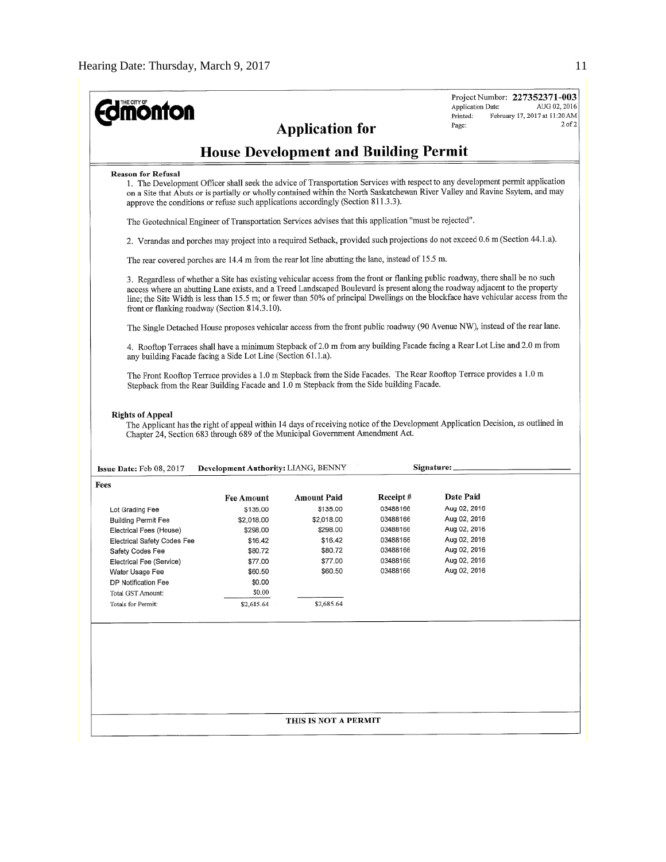| <b>ionfon</b>                                                                                                  |                                                                                                                              |                                              |          | Project Number: 227352371-003<br>AUG 02, 2016<br><b>Application Date:</b><br>February 17, 2017 at 11:20 AM<br>Printed:<br>$2$ of $2$                                                                                                                                                                                                                                                                  |  |  |  |  |
|----------------------------------------------------------------------------------------------------------------|------------------------------------------------------------------------------------------------------------------------------|----------------------------------------------|----------|-------------------------------------------------------------------------------------------------------------------------------------------------------------------------------------------------------------------------------------------------------------------------------------------------------------------------------------------------------------------------------------------------------|--|--|--|--|
|                                                                                                                |                                                                                                                              | <b>Application for</b>                       |          | Page:                                                                                                                                                                                                                                                                                                                                                                                                 |  |  |  |  |
|                                                                                                                |                                                                                                                              | <b>House Development and Building Permit</b> |          |                                                                                                                                                                                                                                                                                                                                                                                                       |  |  |  |  |
| <b>Reason for Refusal</b><br>approve the conditions or refuse such applications accordingly (Section 811.3.3). |                                                                                                                              |                                              |          | 1. The Development Officer shall seek the advice of Transportation Services with respect to any development permit application<br>on a Site that Abuts or is partially or wholly contained within the North Saskatchewan River Valley and Ravine Ssytem, and may                                                                                                                                      |  |  |  |  |
|                                                                                                                | The Geotechnical Engineer of Transportation Services advises that this application "must be rejected".                       |                                              |          |                                                                                                                                                                                                                                                                                                                                                                                                       |  |  |  |  |
|                                                                                                                | 2. Verandas and porches may project into a required Setback, provided such projections do not exceed 0.6 m (Section 44.1.a). |                                              |          |                                                                                                                                                                                                                                                                                                                                                                                                       |  |  |  |  |
| The rear covered porches are 14.4 m from the rear lot line abutting the lane, instead of 15.5 m.               |                                                                                                                              |                                              |          |                                                                                                                                                                                                                                                                                                                                                                                                       |  |  |  |  |
| front or flanking roadway (Section 814.3.10).                                                                  |                                                                                                                              |                                              |          | 3. Regardless of whether a Site has existing vehicular access from the front or flanking public roadway, there shall be no such<br>access where an abutting Lane exists, and a Treed Landscaped Boulevard is present along the roadway adjacent to the property<br>line; the Site Width is less than 15.5 m; or fewer than 50% of principal Dwellings on the blockface have vehicular access from the |  |  |  |  |
|                                                                                                                |                                                                                                                              |                                              |          | The Single Detached House proposes vehicular access from the front public roadway (90 Avenue NW), instead of the rear lane.                                                                                                                                                                                                                                                                           |  |  |  |  |
| any building Facade facing a Side Lot Line (Section 61.1.a).                                                   |                                                                                                                              |                                              |          | 4. Rooftop Terraces shall have a minimum Stepback of 2.0 m from any building Facade facing a Rear Lot Line and 2.0 m from                                                                                                                                                                                                                                                                             |  |  |  |  |
| Stepback from the Rear Building Facade and 1.0 m Stepback from the Side building Facade.                       |                                                                                                                              |                                              |          | The Front Rooftop Terrace provides a 1.0 m Stepback from the Side Facades. The Rear Rooftop Terrace provides a 1.0 m                                                                                                                                                                                                                                                                                  |  |  |  |  |
| <b>Rights of Appeal</b><br>Chapter 24, Section 683 through 689 of the Municipal Government Amendment Act.      |                                                                                                                              |                                              |          | The Applicant has the right of appeal within 14 days of receiving notice of the Development Application Decision, as outlined in                                                                                                                                                                                                                                                                      |  |  |  |  |
| <b>Issue Date:</b> Feb $08, 2017$                                                                              | <b>Development Authority: LIANG, BENNY</b>                                                                                   |                                              |          | Signature:                                                                                                                                                                                                                                                                                                                                                                                            |  |  |  |  |
| Fees                                                                                                           |                                                                                                                              |                                              |          |                                                                                                                                                                                                                                                                                                                                                                                                       |  |  |  |  |
|                                                                                                                | <b>Fee Amount</b>                                                                                                            | Amount Paid                                  | Receipt# | Date Paid                                                                                                                                                                                                                                                                                                                                                                                             |  |  |  |  |
| Lot Grading Fee                                                                                                | \$135.00                                                                                                                     | \$135.00                                     | 03488166 | Aug 02, 2016                                                                                                                                                                                                                                                                                                                                                                                          |  |  |  |  |
| <b>Building Permit Fee</b>                                                                                     | \$2,018.00                                                                                                                   | \$2,018.00                                   | 03488166 | Aug 02, 2016                                                                                                                                                                                                                                                                                                                                                                                          |  |  |  |  |
| Electrical Fees (House)                                                                                        | \$298.00                                                                                                                     | \$298.00                                     | 03488166 | Aug 02, 2016                                                                                                                                                                                                                                                                                                                                                                                          |  |  |  |  |
| <b>Electrical Safety Codes Fee</b>                                                                             | \$16.42                                                                                                                      | \$16.42                                      | 03488166 | Aug 02, 2016                                                                                                                                                                                                                                                                                                                                                                                          |  |  |  |  |
| Safety Codes Fee                                                                                               | \$80.72                                                                                                                      | \$80.72                                      | 03488166 | Aug 02, 2016                                                                                                                                                                                                                                                                                                                                                                                          |  |  |  |  |
| Electrical Fee (Service)                                                                                       | \$77.00                                                                                                                      | \$77.00                                      | 03488166 | Aug 02, 2016                                                                                                                                                                                                                                                                                                                                                                                          |  |  |  |  |
| Water Usage Fee                                                                                                | \$60.50                                                                                                                      | \$60.50                                      | 03488166 | Aug 02, 2016                                                                                                                                                                                                                                                                                                                                                                                          |  |  |  |  |
| DP Notification Fee                                                                                            | \$0.00                                                                                                                       |                                              |          |                                                                                                                                                                                                                                                                                                                                                                                                       |  |  |  |  |
| Total GST Amount:                                                                                              | \$0.00                                                                                                                       |                                              |          |                                                                                                                                                                                                                                                                                                                                                                                                       |  |  |  |  |
| Totals for Permit:                                                                                             | \$2,685.64                                                                                                                   | \$2,685.64                                   |          |                                                                                                                                                                                                                                                                                                                                                                                                       |  |  |  |  |
|                                                                                                                |                                                                                                                              |                                              |          |                                                                                                                                                                                                                                                                                                                                                                                                       |  |  |  |  |
|                                                                                                                |                                                                                                                              |                                              |          |                                                                                                                                                                                                                                                                                                                                                                                                       |  |  |  |  |
|                                                                                                                |                                                                                                                              |                                              |          |                                                                                                                                                                                                                                                                                                                                                                                                       |  |  |  |  |
|                                                                                                                |                                                                                                                              |                                              |          |                                                                                                                                                                                                                                                                                                                                                                                                       |  |  |  |  |
|                                                                                                                |                                                                                                                              |                                              |          |                                                                                                                                                                                                                                                                                                                                                                                                       |  |  |  |  |
|                                                                                                                |                                                                                                                              | THIS IS NOT A PERMIT                         |          |                                                                                                                                                                                                                                                                                                                                                                                                       |  |  |  |  |
|                                                                                                                |                                                                                                                              |                                              |          |                                                                                                                                                                                                                                                                                                                                                                                                       |  |  |  |  |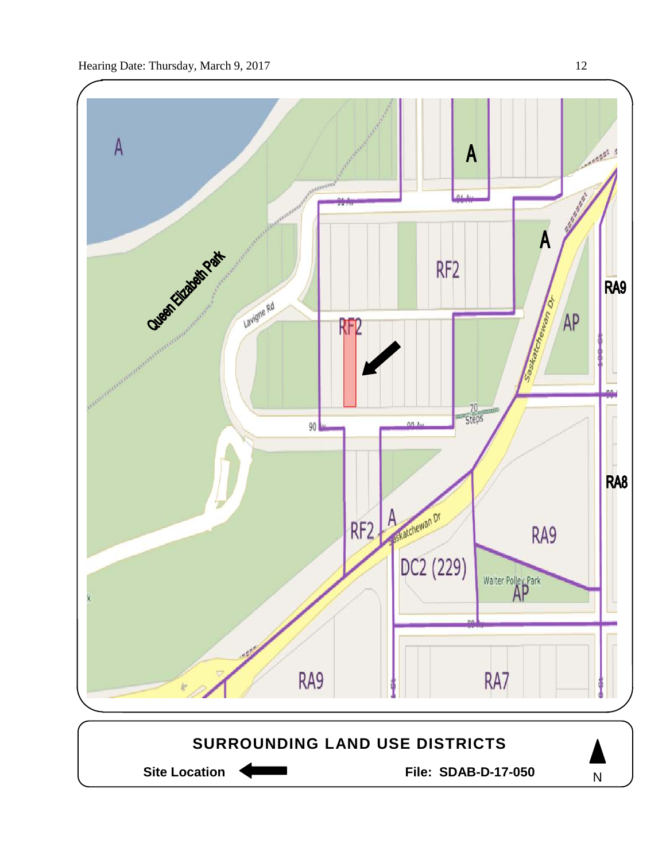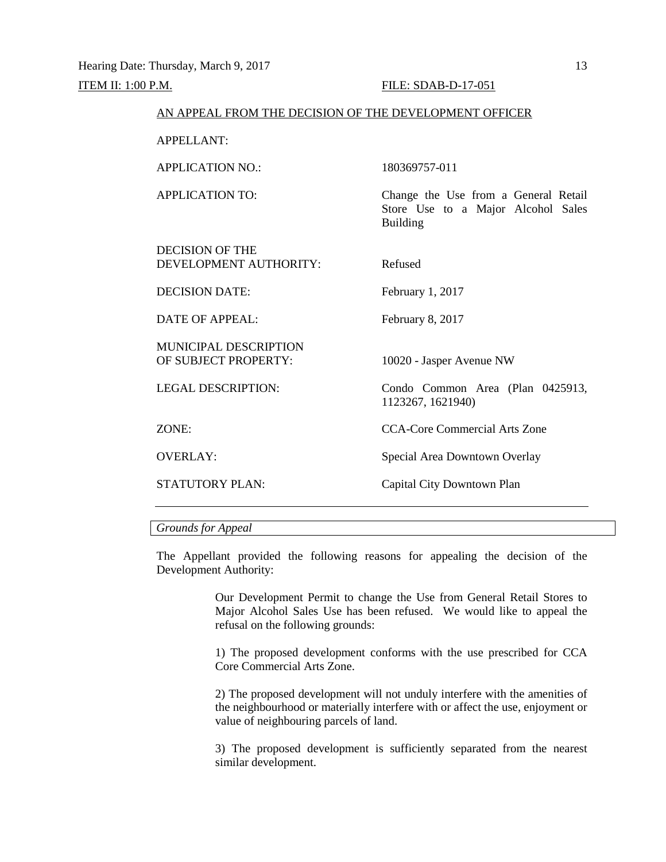# ITEM II: 1:00 P.M. FILE: SDAB-D-17-051 AN APPEAL FROM THE DECISION OF THE DEVELOPMENT OFFICER APPELLANT: APPLICATION NO.: 180369757-011 APPLICATION TO: Change the Use from a General Retail Store Use to a Major Alcohol Sales Building DECISION OF THE DEVELOPMENT AUTHORITY: Refused DECISION DATE: February 1, 2017 DATE OF APPEAL: February 8, 2017 MUNICIPAL DESCRIPTION<br>OF SUBJECT PROPERTY: 10020 - Jasper Avenue NW LEGAL DESCRIPTION: Condo Common Area (Plan 0425913, 1123267, 1621940) ZONE: CCA-Core Commercial Arts Zone OVERLAY: Special Area Downtown Overlay STATUTORY PLAN: Capital City Downtown Plan

# *Grounds for Appeal*

The Appellant provided the following reasons for appealing the decision of the Development Authority:

> Our Development Permit to change the Use from General Retail Stores to Major Alcohol Sales Use has been refused. We would like to appeal the refusal on the following grounds:

> 1) The proposed development conforms with the use prescribed for CCA Core Commercial Arts Zone.

> 2) The proposed development will not unduly interfere with the amenities of the neighbourhood or materially interfere with or affect the use, enjoyment or value of neighbouring parcels of land.

> 3) The proposed development is sufficiently separated from the nearest similar development.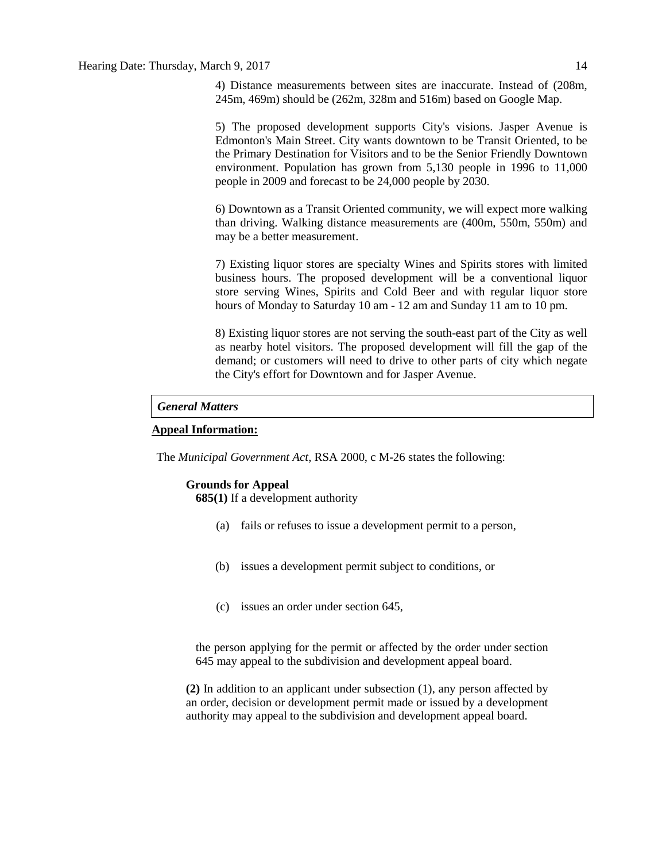4) Distance measurements between sites are inaccurate. Instead of (208m, 245m, 469m) should be (262m, 328m and 516m) based on Google Map.

5) The proposed development supports City's visions. Jasper Avenue is Edmonton's Main Street. City wants downtown to be Transit Oriented, to be the Primary Destination for Visitors and to be the Senior Friendly Downtown environment. Population has grown from 5,130 people in 1996 to 11,000 people in 2009 and forecast to be 24,000 people by 2030.

6) Downtown as a Transit Oriented community, we will expect more walking than driving. Walking distance measurements are (400m, 550m, 550m) and may be a better measurement.

7) Existing liquor stores are specialty Wines and Spirits stores with limited business hours. The proposed development will be a conventional liquor store serving Wines, Spirits and Cold Beer and with regular liquor store hours of Monday to Saturday 10 am - 12 am and Sunday 11 am to 10 pm.

8) Existing liquor stores are not serving the south-east part of the City as well as nearby hotel visitors. The proposed development will fill the gap of the demand; or customers will need to drive to other parts of city which negate the City's effort for Downtown and for Jasper Avenue.

# *General Matters*

## **Appeal Information:**

The *Municipal Government Act*, RSA 2000, c M-26 states the following:

# **Grounds for Appeal**

**685(1)** If a development authority

- (a) fails or refuses to issue a development permit to a person,
- (b) issues a development permit subject to conditions, or
- (c) issues an order under section 645,

the person applying for the permit or affected by the order under section 645 may appeal to the subdivision and development appeal board.

**(2)** In addition to an applicant under subsection (1), any person affected by an order, decision or development permit made or issued by a development authority may appeal to the subdivision and development appeal board.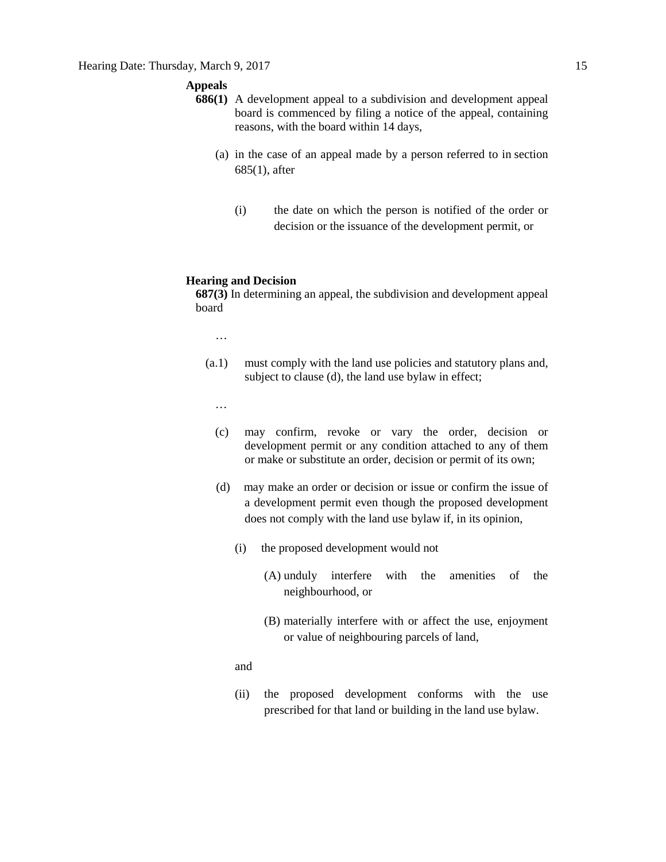# **Appeals**

- **686(1)** A development appeal to a subdivision and development appeal board is commenced by filing a notice of the appeal, containing reasons, with the board within 14 days,
	- (a) in the case of an appeal made by a person referred to in section 685(1), after
		- (i) the date on which the person is notified of the order or decision or the issuance of the development permit, or

# **Hearing and Decision**

**687(3)** In determining an appeal, the subdivision and development appeal board

…

- (a.1) must comply with the land use policies and statutory plans and, subject to clause (d), the land use bylaw in effect;
	- …
	- (c) may confirm, revoke or vary the order, decision or development permit or any condition attached to any of them or make or substitute an order, decision or permit of its own;
	- (d) may make an order or decision or issue or confirm the issue of a development permit even though the proposed development does not comply with the land use bylaw if, in its opinion,
		- (i) the proposed development would not
			- (A) unduly interfere with the amenities of the neighbourhood, or
			- (B) materially interfere with or affect the use, enjoyment or value of neighbouring parcels of land,
		- and
		- (ii) the proposed development conforms with the use prescribed for that land or building in the land use bylaw.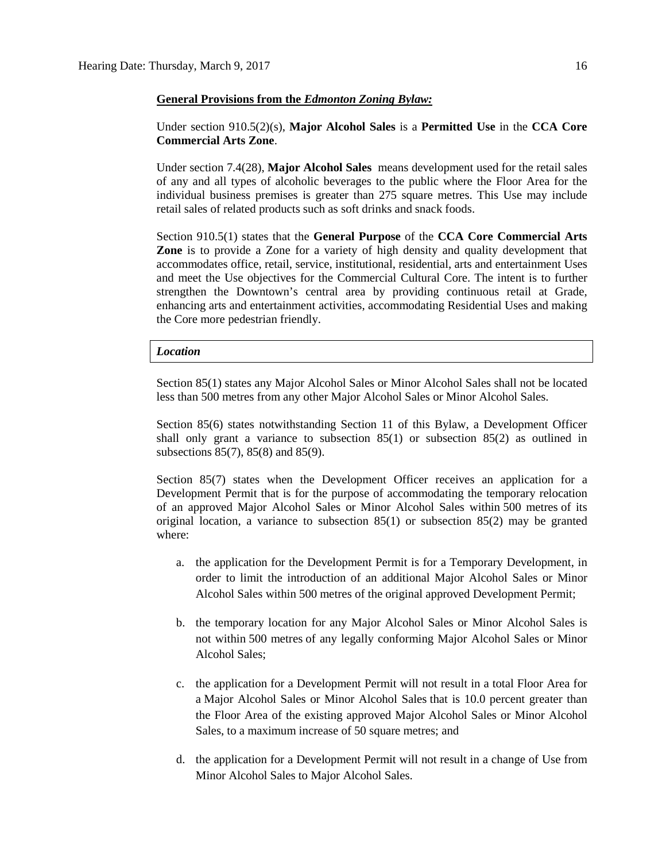#### **General Provisions from the** *Edmonton Zoning Bylaw:*

# Under section 910.5(2)(s), **Major Alcohol Sales** is a **Permitted Use** in the **CCA Core Commercial Arts Zone**.

Under section 7.4(28), **Major Alcohol Sales** means development used for the retail sales of any and all types of alcoholic beverages to the public where the Floor Area for the individual business premises is greater than 275 square metres. This Use may include retail sales of related products such as soft drinks and snack foods.

Section 910.5(1) states that the **General Purpose** of the **CCA Core Commercial Arts Zone** is to provide a Zone for a variety of high density and quality development that accommodates office, retail, service, institutional, residential, arts and entertainment Uses and meet the Use objectives for the Commercial Cultural Core. The intent is to further strengthen the Downtown's central area by providing continuous retail at Grade, enhancing arts and entertainment activities, accommodating Residential Uses and making the Core more pedestrian friendly.

#### *Location*

Section 85(1) states any Major Alcohol Sales or Minor Alcohol Sales shall not be located less than 500 metres from any other Major Alcohol Sales or Minor Alcohol Sales.

Section 85(6) states notwithstanding Section 11 of this Bylaw, a Development Officer shall only grant a variance to subsection 85(1) or subsection 85(2) as outlined in subsections 85(7), 85(8) and 85(9).

Section 85(7) states when the Development Officer receives an application for a Development Permit that is for the purpose of accommodating the temporary relocation of an approved Major Alcohol Sales or Minor Alcohol Sales within [500 me](javascript:void(0);)tres of its original location, a variance to subsection 85(1) or subsection 85(2) may be granted where:

- a. the application for the Development Permit is for a Temporary Development, in order to limit the introduction of an additional Major Alcohol Sales or Minor Alcohol Sales within [500 me](javascript:void(0);)tres of the original approved Development Permit;
- b. the temporary location for any Major Alcohol Sales or Minor Alcohol Sales is not within [500 me](javascript:void(0);)tres of any legally conforming Major Alcohol Sales or Minor Alcohol Sales;
- c. the application for a Development Permit will not result in a total Floor Area for a Major Alcohol Sales or Minor Alcohol Sales that is 10.0 percent greater than the Floor Area of the existing approved Major Alcohol Sales or Minor Alcohol Sales, to a maximum increase of [50 square](http://webdocs.edmonton.ca/InfraPlan/zoningbylaw/ZoningBylaw/Measurements/ia50.htm) metres; and
- d. the application for a Development Permit will not result in a change of Use from Minor Alcohol Sales to Major Alcohol Sales.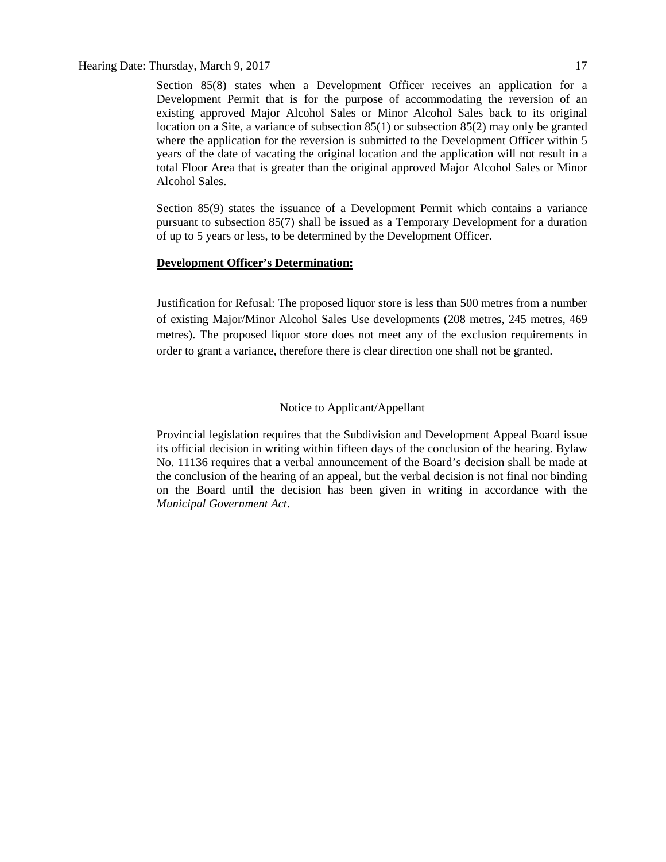Hearing Date: Thursday, March 9, 2017 17

Section 85(8) states when a Development Officer receives an application for a Development Permit that is for the purpose of accommodating the reversion of an existing approved Major Alcohol Sales or Minor Alcohol Sales back to its original location on a Site, a variance of subsection 85(1) or subsection 85(2) may only be granted where the application for the reversion is submitted to the Development Officer within 5 years of the date of vacating the original location and the application will not result in a total Floor Area that is greater than the original approved Major Alcohol Sales or Minor Alcohol Sales.

Section 85(9) states the issuance of a Development Permit which contains a variance pursuant to subsection 85(7) shall be issued as a Temporary Development for a duration of up to 5 years or less, to be determined by the Development Officer.

# **Development Officer's Determination:**

Justification for Refusal: The proposed liquor store is less than 500 metres from a number of existing Major/Minor Alcohol Sales Use developments (208 metres, 245 metres, 469 metres). The proposed liquor store does not meet any of the exclusion requirements in order to grant a variance, therefore there is clear direction one shall not be granted.

# Notice to Applicant/Appellant

Provincial legislation requires that the Subdivision and Development Appeal Board issue its official decision in writing within fifteen days of the conclusion of the hearing. Bylaw No. 11136 requires that a verbal announcement of the Board's decision shall be made at the conclusion of the hearing of an appeal, but the verbal decision is not final nor binding on the Board until the decision has been given in writing in accordance with the *Municipal Government Act*.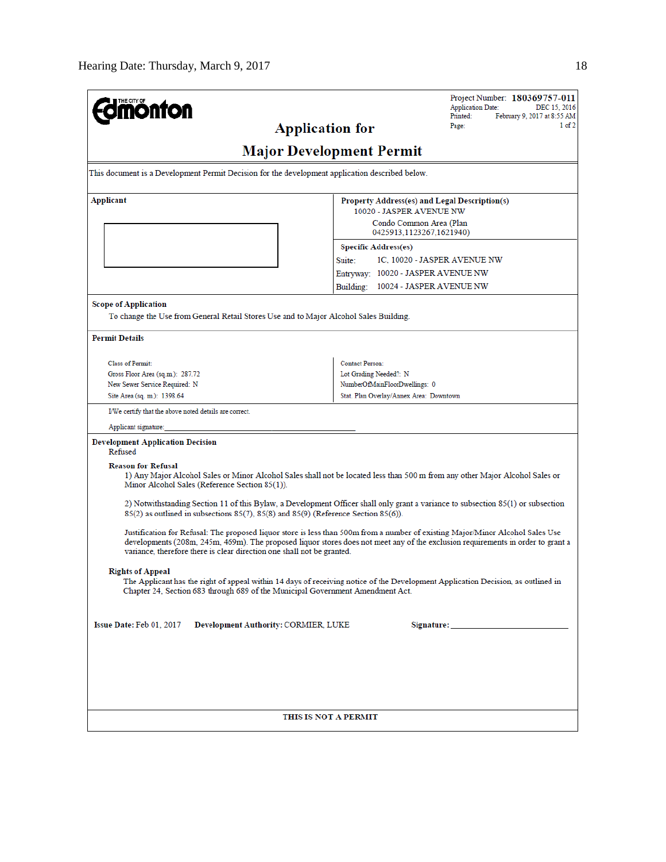| <b>mönton</b>                                                                                                                                                                                                                                                                                                                               | Project Number: 180369757-011<br><b>Application Date:</b><br>DEC 15, 2016                                                    |  |  |  |  |  |  |  |
|---------------------------------------------------------------------------------------------------------------------------------------------------------------------------------------------------------------------------------------------------------------------------------------------------------------------------------------------|------------------------------------------------------------------------------------------------------------------------------|--|--|--|--|--|--|--|
| <b>Application for</b>                                                                                                                                                                                                                                                                                                                      | Printed:<br>February 9, 2017 at 8:55 AM<br>$1$ of $2$<br>Page:                                                               |  |  |  |  |  |  |  |
| <b>Major Development Permit</b>                                                                                                                                                                                                                                                                                                             |                                                                                                                              |  |  |  |  |  |  |  |
|                                                                                                                                                                                                                                                                                                                                             |                                                                                                                              |  |  |  |  |  |  |  |
| This document is a Development Permit Decision for the development application described below.                                                                                                                                                                                                                                             |                                                                                                                              |  |  |  |  |  |  |  |
| Applicant                                                                                                                                                                                                                                                                                                                                   | Property Address(es) and Legal Description(s)<br>10020 - JASPER AVENUE NW                                                    |  |  |  |  |  |  |  |
|                                                                                                                                                                                                                                                                                                                                             | Condo Common Area (Plan<br>0425913.1123267.1621940)                                                                          |  |  |  |  |  |  |  |
|                                                                                                                                                                                                                                                                                                                                             | <b>Specific Address(es)</b>                                                                                                  |  |  |  |  |  |  |  |
|                                                                                                                                                                                                                                                                                                                                             | Suite:<br>1C, 10020 - JASPER AVENUE NW                                                                                       |  |  |  |  |  |  |  |
|                                                                                                                                                                                                                                                                                                                                             | Entryway: 10020 - JASPER AVENUE NW                                                                                           |  |  |  |  |  |  |  |
|                                                                                                                                                                                                                                                                                                                                             | Building:<br>10024 - JASPER AVENUE NW                                                                                        |  |  |  |  |  |  |  |
| <b>Scope of Application</b>                                                                                                                                                                                                                                                                                                                 |                                                                                                                              |  |  |  |  |  |  |  |
| To change the Use from General Retail Stores Use and to Major Alcohol Sales Building.                                                                                                                                                                                                                                                       |                                                                                                                              |  |  |  |  |  |  |  |
| <b>Permit Details</b>                                                                                                                                                                                                                                                                                                                       |                                                                                                                              |  |  |  |  |  |  |  |
|                                                                                                                                                                                                                                                                                                                                             |                                                                                                                              |  |  |  |  |  |  |  |
| <b>Class of Permit:</b><br>Gross Floor Area (sq.m.): 287.72                                                                                                                                                                                                                                                                                 | <b>Contact Person:</b>                                                                                                       |  |  |  |  |  |  |  |
| New Sewer Service Required: N                                                                                                                                                                                                                                                                                                               | Lot Grading Needed?: N<br>NumberOfMainFloorDwellings: 0                                                                      |  |  |  |  |  |  |  |
| Site Area (sq. m.): 1398.64                                                                                                                                                                                                                                                                                                                 | Stat. Plan Overlay/Annex Area: Downtown                                                                                      |  |  |  |  |  |  |  |
| I/We certify that the above noted details are correct.                                                                                                                                                                                                                                                                                      |                                                                                                                              |  |  |  |  |  |  |  |
| Applicant signature:                                                                                                                                                                                                                                                                                                                        |                                                                                                                              |  |  |  |  |  |  |  |
| <b>Development Application Decision</b><br>Refused                                                                                                                                                                                                                                                                                          |                                                                                                                              |  |  |  |  |  |  |  |
| <b>Reason for Refusal</b><br>Minor Alcohol Sales (Reference Section 85(1)).                                                                                                                                                                                                                                                                 | 1) Any Major Alcohol Sales or Minor Alcohol Sales shall not be located less than 500 m from any other Major Alcohol Sales or |  |  |  |  |  |  |  |
| 2) Notwithstanding Section 11 of this Bylaw, a Development Officer shall only grant a variance to subsection 85(1) or subsection<br>$85(2)$ as outlined in subsections $85(7)$ , $85(8)$ and $85(9)$ (Reference Section $85(6)$ ).                                                                                                          |                                                                                                                              |  |  |  |  |  |  |  |
| Justification for Refusal: The proposed liquor store is less than 500m from a number of existing Major/Minor Alcohol Sales Use<br>developments (208m, 245m, 469m). The proposed liquor stores does not meet any of the exclusion requirements in order to grant a<br>variance, therefore there is clear direction one shall not be granted. |                                                                                                                              |  |  |  |  |  |  |  |
| <b>Rights of Appeal</b><br>The Applicant has the right of appeal within 14 days of receiving notice of the Development Application Decision, as outlined in<br>Chapter 24, Section 683 through 689 of the Municipal Government Amendment Act.                                                                                               |                                                                                                                              |  |  |  |  |  |  |  |
| Issue Date: Feb 01, 2017<br>Development Authority: CORMIER, LUKE                                                                                                                                                                                                                                                                            |                                                                                                                              |  |  |  |  |  |  |  |
|                                                                                                                                                                                                                                                                                                                                             |                                                                                                                              |  |  |  |  |  |  |  |
|                                                                                                                                                                                                                                                                                                                                             |                                                                                                                              |  |  |  |  |  |  |  |
|                                                                                                                                                                                                                                                                                                                                             |                                                                                                                              |  |  |  |  |  |  |  |
|                                                                                                                                                                                                                                                                                                                                             |                                                                                                                              |  |  |  |  |  |  |  |
| THIS IS NOT A PERMIT                                                                                                                                                                                                                                                                                                                        |                                                                                                                              |  |  |  |  |  |  |  |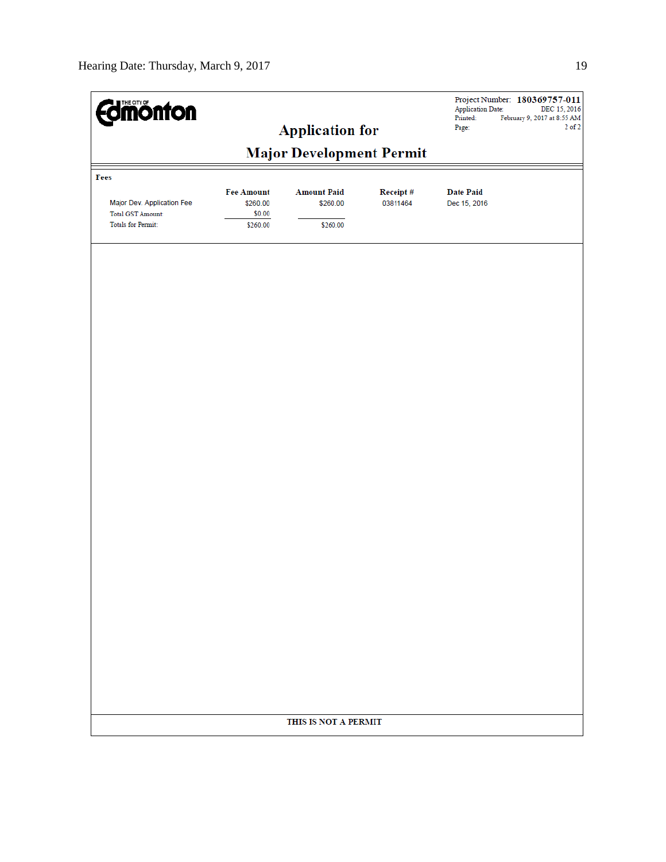| <b>Edinonton</b>                                                                    |                                                     | <b>Application for</b>                     |                      | <b>Application Date:</b><br>Printed:<br>Page: | Project Number: 180369757-011<br>DEC 15, 2016<br>February 9, 2017 at 8:55 AM<br>$2$ of $2$ |
|-------------------------------------------------------------------------------------|-----------------------------------------------------|--------------------------------------------|----------------------|-----------------------------------------------|--------------------------------------------------------------------------------------------|
|                                                                                     |                                                     |                                            |                      |                                               |                                                                                            |
| Fees                                                                                |                                                     |                                            |                      |                                               |                                                                                            |
| Major Dev. Application Fee<br><b>Total GST Amount:</b><br><b>Totals for Permit:</b> | <b>Fee Amount</b><br>\$260.00<br>\$0.00<br>\$260.00 | <b>Amount Paid</b><br>\$260.00<br>\$260.00 | Receipt#<br>03811464 | <b>Date Paid</b><br>Dec 15, 2016              |                                                                                            |
|                                                                                     |                                                     |                                            |                      |                                               |                                                                                            |
|                                                                                     |                                                     |                                            |                      |                                               |                                                                                            |
|                                                                                     |                                                     |                                            |                      |                                               |                                                                                            |
|                                                                                     |                                                     |                                            |                      |                                               |                                                                                            |
|                                                                                     |                                                     |                                            |                      |                                               |                                                                                            |
|                                                                                     |                                                     |                                            |                      |                                               |                                                                                            |
|                                                                                     |                                                     |                                            |                      |                                               |                                                                                            |
|                                                                                     |                                                     |                                            |                      |                                               |                                                                                            |
|                                                                                     |                                                     |                                            |                      |                                               |                                                                                            |
|                                                                                     |                                                     |                                            |                      |                                               |                                                                                            |
|                                                                                     |                                                     | THIS IS NOT A PERMIT                       |                      |                                               |                                                                                            |